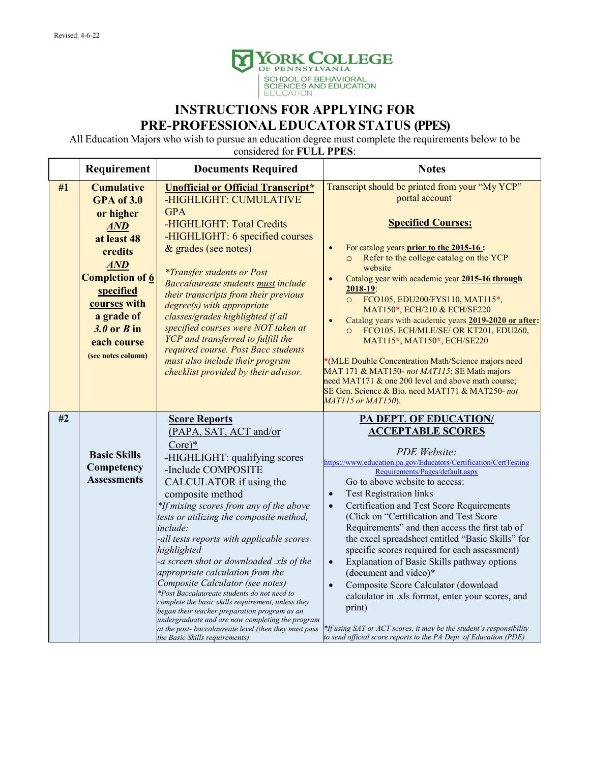

## **INSTRUCTIONS FOR APPLYING FOR PRE-PROFESSIONALEDUCATOR STATUS (PPES)**

All Education Majors who wish to pursue an education degree must complete the requirements below to be

considered for **FULL PPES**:

|    | Requirement                                                                                                                                                                                  | <b>Documents Required</b>                                                                                                                                                                                                                                                                                                                                                                                                                                                                                                                                                                                                                                                                                                                                | <b>Notes</b>                                                                                                                                                                                                                                                                                                                                                                                                                                                                                                                                                                                                                                                                                                                                                                                                                                          |
|----|----------------------------------------------------------------------------------------------------------------------------------------------------------------------------------------------|----------------------------------------------------------------------------------------------------------------------------------------------------------------------------------------------------------------------------------------------------------------------------------------------------------------------------------------------------------------------------------------------------------------------------------------------------------------------------------------------------------------------------------------------------------------------------------------------------------------------------------------------------------------------------------------------------------------------------------------------------------|-------------------------------------------------------------------------------------------------------------------------------------------------------------------------------------------------------------------------------------------------------------------------------------------------------------------------------------------------------------------------------------------------------------------------------------------------------------------------------------------------------------------------------------------------------------------------------------------------------------------------------------------------------------------------------------------------------------------------------------------------------------------------------------------------------------------------------------------------------|
| #1 | <b>Cumulative</b><br><b>GPA</b> of 3.0                                                                                                                                                       | <b>Unofficial or Official Transcript*</b><br>-HIGHLIGHT: CUMULATIVE                                                                                                                                                                                                                                                                                                                                                                                                                                                                                                                                                                                                                                                                                      | Transcript should be printed from your "My YCP"<br>portal account                                                                                                                                                                                                                                                                                                                                                                                                                                                                                                                                                                                                                                                                                                                                                                                     |
|    | or higher<br><b>AND</b><br>at least 48<br>credits<br><b>AND</b><br><b>Completion of 6</b><br>specified<br>courses with<br>a grade of<br>$3.0$ or $B$ in<br>each course<br>(see notes column) | <b>GPA</b><br>-HIGHLIGHT: Total Credits<br>-HIGHLIGHT: 6 specified courses<br>& grades (see notes)<br><i>*Transfer students or Post</i><br>Baccalaureate students must include<br>their transcripts from their previous<br>$degree(s)$ with appropriate<br>classes/grades highlighted if all<br>specified courses were NOT taken at<br>YCP and transferred to fulfill the<br>required course. Post Bacc students<br>must also include their program                                                                                                                                                                                                                                                                                                      | <b>Specified Courses:</b><br>For catalog years prior to the 2015-16:<br>$\bullet$<br>Refer to the college catalog on the YCP<br>$\circ$<br>website<br>Catalog year with academic year 2015-16 through<br>2018-19:<br>FCO105, EDU200/FYS110, MAT115*,<br>$\circ$<br>MAT150*, ECH/210 & ECH/SE220<br>Catalog years with academic years 2019-2020 or after:<br>FCO105, ECH/MLE/SE/ OR KT201, EDU260,<br>$\circ$<br>MAT115*, MAT150*, ECH/SE220<br>(MLE Double Concentration Math/Science majors need                                                                                                                                                                                                                                                                                                                                                     |
|    |                                                                                                                                                                                              | checklist provided by their advisor.                                                                                                                                                                                                                                                                                                                                                                                                                                                                                                                                                                                                                                                                                                                     | MAT 171 & MAT150- not MAT115; SE Math majors<br>need MAT171 & one 200 level and above math course;<br>SE Gen. Science & Bio. need MAT171 & MAT250-not<br>MAT115 or MAT150).                                                                                                                                                                                                                                                                                                                                                                                                                                                                                                                                                                                                                                                                           |
| #2 | <b>Basic Skills</b><br>Competency<br><b>Assessments</b>                                                                                                                                      | <b>Score Reports</b><br>(PAPA, SAT, ACT and/or<br>$Core)*$<br>-HIGHLIGHT: qualifying scores<br>-Include COMPOSITE<br>CALCULATOR if using the<br>composite method<br>*If mixing scores from any of the above<br>tests or utilizing the composite method,<br>include:<br>-all tests reports with applicable scores<br>highlighted<br>-a screen shot or downloaded .xls of the<br>appropriate calculation from the<br>Composite Calculator (see notes)<br>*Post Baccalaureate students do not need to<br>complete the basic skills requirement, unless they<br>began their teacher preparation program as an<br>undergraduate and are now completing the program<br>at the post- baccalaureate level (then they must pass<br>the Basic Skills requirements) | PA DEPT. OF EDUCATION/<br><b>ACCEPTABLE SCORES</b><br>PDE Website:<br>https://www.education.pa.gov/Educators/Certification/CertTesting<br>Requirements/Pages/default.aspx<br>Go to above website to access:<br><b>Test Registration links</b><br>Certification and Test Score Requirements<br>$\bullet$<br>(Click on "Certification and Test Score<br>Requirements" and then access the first tab of<br>the excel spreadsheet entitled "Basic Skills" for<br>specific scores required for each assessment)<br>Explanation of Basic Skills pathway options<br>$\bullet$<br>(document and video)*<br>Composite Score Calculator (download<br>calculator in .xls format, enter your scores, and<br>print)<br>$*$ If using SAT or ACT scores, it may be the student's responsibility<br>to send official score reports to the PA Dept. of Education (PDE) |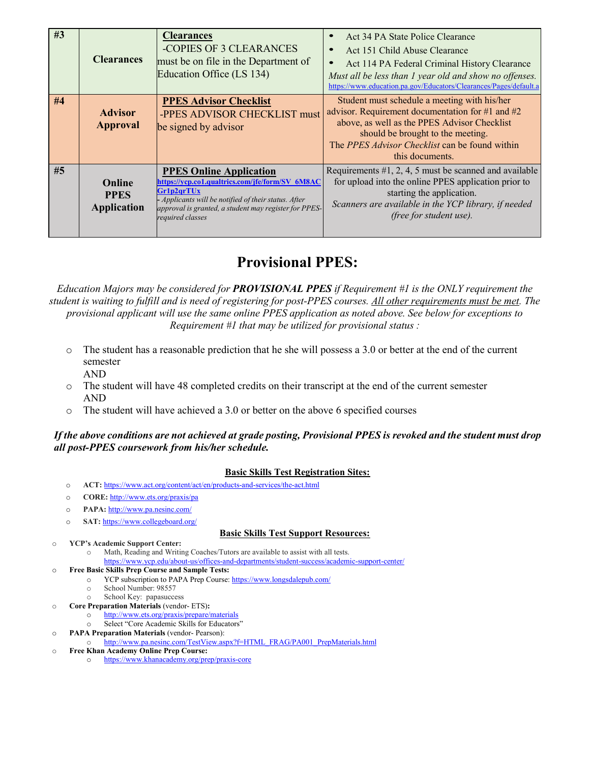| #3 | <b>Clearances</b>                           | <b>Clearances</b><br>-COPIES OF 3 CLEARANCES<br>must be on file in the Department of<br>Education Office (LS 134)                                                                                                                    | Act 34 PA State Police Clearance<br>Act 151 Child Abuse Clearance<br>Act 114 PA Federal Criminal History Clearance<br>Must all be less than 1 year old and show no offenses.<br>https://www.education.pa.gov/Educators/Clearances/Pages/default.a          |
|----|---------------------------------------------|--------------------------------------------------------------------------------------------------------------------------------------------------------------------------------------------------------------------------------------|------------------------------------------------------------------------------------------------------------------------------------------------------------------------------------------------------------------------------------------------------------|
| #4 | <b>Advisor</b><br><b>Approval</b>           | <b>PPES Advisor Checklist</b><br>-PPES ADVISOR CHECKLIST must<br>be signed by advisor                                                                                                                                                | Student must schedule a meeting with his/her<br>advisor. Requirement documentation for #1 and #2<br>above, as well as the PPES Advisor Checklist<br>should be brought to the meeting.<br>The PPES Advisor Checklist can be found within<br>this documents. |
| #5 | Online<br><b>PPES</b><br><b>Application</b> | <b>PPES Online Application</b><br>https://ycp.co1.qualtrics.com/jfe/form/SV 6M8AC<br>Gr1p2qrTUx<br>- Applicants will be notified of their status. After<br>approval is granted, a student may register for PPES-<br>required classes | Requirements $#1, 2, 4, 5$ must be scanned and available<br>for upload into the online PPES application prior to<br>starting the application.<br>Scanners are available in the YCP library, if needed<br>(free for student use).                           |

# **Provisional PPES:**

*Education Majors may be considered for PROVISIONAL PPES if Requirement #1 is the ONLY requirement the student is waiting to fulfill and is need of registering for post-PPES courses. All other requirements must be met. The provisional applicant will use the same online PPES application as noted above. See below for exceptions to Requirement #1 that may be utilized for provisional status :*

- o The student has a reasonable prediction that he she will possess a 3.0 or better at the end of the current semester AND
- o The student will have 48 completed credits on their transcript at the end of the current semester AND
- o The student will have achieved a 3.0 or better on the above 6 specified courses

#### *If the above conditions are not achieved at grade posting, Provisional PPES is revoked and the student must drop all post-PPES coursework from his/her schedule.*

#### **Basic Skills Test Registration Sites:**

- o **ACT:** <https://www.act.org/content/act/en/products-and-services/the-act.html>
- o **CORE:** <http://www.ets.org/praxis/pa>
- o **PAPA:** <http://www.pa.nesinc.com/>
- o **SAT:** <https://www.collegeboard.org/>

#### **Basic Skills Test Support Resources:**

- o **YCP's Academic Support Center:** 
	- o Math, Reading and Writing Coaches/Tutors are available to assist with all tests.
	- <https://www.ycp.edu/about-us/offices-and-departments/student-success/academic-support-center/>
- o **Free Basic Skills Prep Course and Sample Tests:**
	- o YCP subscription to PAPA Prep Course: <https://www.longsdalepub.com/>
		- o School Number: 98557
	- o School Key: papasuccess
- o **Core Preparation Materials** (vendor- ETS)**:**
	- o <http://www.ets.org/praxis/prepare/materials> o Select "Core Academic Skills for Educators"
- o **PAPA Preparation Materials** (vendor- Pearson):
- o [http://www.pa.nesinc.com/TestView.aspx?f=HTML\\_FRAG/PA001\\_PrepMaterials.html](http://www.pa.nesinc.com/TestView.aspx?f=HTML_FRAG/PA001_PrepMaterials.html)
- o **Free Khan Academy Online Prep Course:**
	- <https://www.khanacademy.org/prep/praxis-core>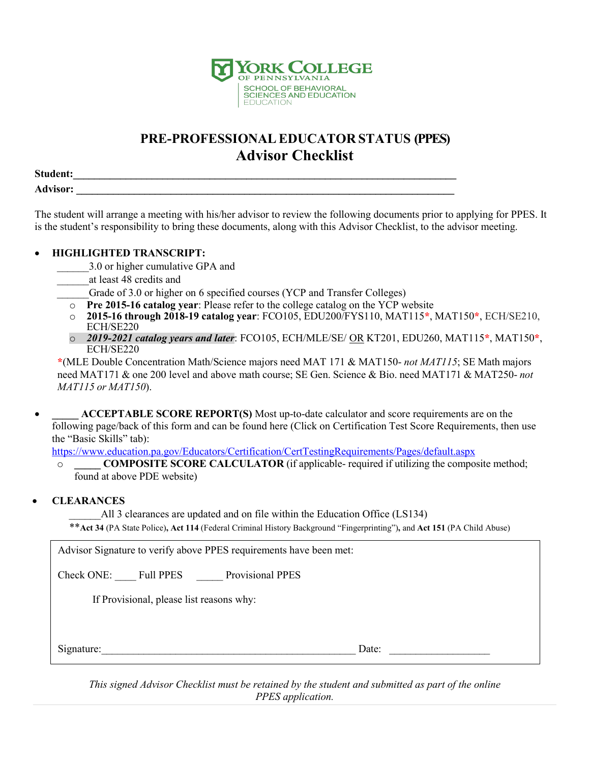

# **PRE-PROFESSIONALEDUCATOR STATUS (PPES) Advisor Checklist**

**Student:\_\_\_\_\_\_\_\_\_\_\_\_\_\_\_\_\_\_\_\_\_\_\_\_\_\_\_\_\_\_\_\_\_\_\_\_\_\_\_\_\_\_\_\_\_\_\_\_\_\_\_\_\_\_\_\_\_\_\_\_\_\_\_\_\_\_\_\_\_\_\_\_\_ Advisor: \_\_\_\_\_\_\_\_\_\_\_\_\_\_\_\_\_\_\_\_\_\_\_\_\_\_\_\_\_\_\_\_\_\_\_\_\_\_\_\_\_\_\_\_\_\_\_\_\_\_\_\_\_\_\_\_\_\_\_\_\_\_\_\_\_\_\_\_\_\_\_\_**

The student will arrange a meeting with his/her advisor to review the following documents prior to applying for PPES. It is the student's responsibility to bring these documents, along with this Advisor Checklist, to the advisor meeting.

### • **HIGHLIGHTED TRANSCRIPT:**

- 3.0 or higher cumulative GPA and
- \_\_\_\_\_\_at least 48 credits and

Grade of 3.0 or higher on 6 specified courses (YCP and Transfer Colleges)

- o **Pre 2015-16 catalog year**: Please refer to the college catalog on the YCP website
- o **2015-16 through 2018-19 catalog year**: FCO105, EDU200/FYS110, MAT115**\***, MAT150**\***, ECH/SE210, ECH/SE220
- o *2019-2021 catalog years and later*: FCO105, ECH/MLE/SE/ OR KT201, EDU260, MAT115**\***, MAT150**\***, ECH/SE220

**\***(MLE Double Concentration Math/Science majors need MAT 171 & MAT150- *not MAT115*; SE Math majors need MAT171 & one 200 level and above math course; SE Gen. Science & Bio. need MAT171 & MAT250- *not MAT115 or MAT150*).

• **\_\_\_\_\_ ACCEPTABLE SCORE REPORT(S)** Most up-to-date calculator and score requirements are on the following page/back of this form and can be found here (Click on Certification Test Score Requirements, then use the "Basic Skills" tab):

<https://www.education.pa.gov/Educators/Certification/CertTestingRequirements/Pages/default.aspx>

o **\_\_\_\_\_ COMPOSITE SCORE CALCULATOR** (if applicable- required if utilizing the composite method; found at above PDE website)

### • **CLEARANCES**

All 3 clearances are updated and on file within the Education Office (LS134)

\*\***Act 34** (PA State Police)**, Act 114** (Federal Criminal History Background "Fingerprinting")**,** and **Act 151** (PA Child Abuse)

Advisor Signature to verify above PPES requirements have been met:

Check ONE: Full PPES Provisional PPES

If Provisional, please list reasons why:

Signature:  $\Box$ 

*This signed Advisor Checklist must be retained by the student and submitted as part of the online PPES application.*